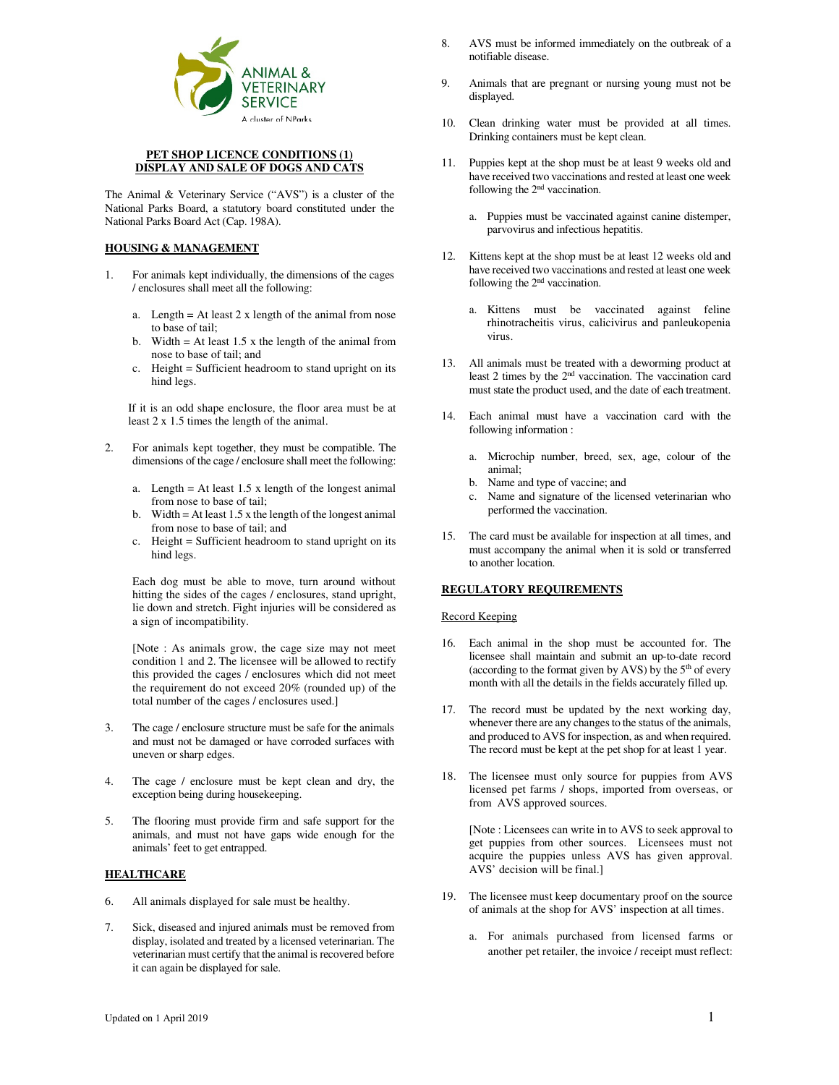

## **PET SHOP LICENCE CONDITIONS (1) DISPLAY AND SALE OF DOGS AND CATS**

The Animal & Veterinary Service ("AVS") is a cluster of the National Parks Board, a statutory board constituted under the National Parks Board Act (Cap. 198A).

# **HOUSING & MANAGEMENT**

- 1. For animals kept individually, the dimensions of the cages / enclosures shall meet all the following:
	- a. Length = At least 2 x length of the animal from nose to base of tail;
	- b. Width  $=$  At least 1.5 x the length of the animal from nose to base of tail; and
	- c. Height = Sufficient headroom to stand upright on its hind legs.

If it is an odd shape enclosure, the floor area must be at least 2 x 1.5 times the length of the animal.

- 2. For animals kept together, they must be compatible. The dimensions of the cage / enclosure shall meet the following:
	- a. Length = At least  $1.5 \times$  length of the longest animal from nose to base of tail;
	- b. Width = At least 1.5 x the length of the longest animal from nose to base of tail; and
	- c. Height = Sufficient headroom to stand upright on its hind legs.

Each dog must be able to move, turn around without hitting the sides of the cages / enclosures, stand upright, lie down and stretch. Fight injuries will be considered as a sign of incompatibility.

[Note : As animals grow, the cage size may not meet condition 1 and 2. The licensee will be allowed to rectify this provided the cages / enclosures which did not meet the requirement do not exceed 20% (rounded up) of the total number of the cages / enclosures used.]

- 3. The cage / enclosure structure must be safe for the animals and must not be damaged or have corroded surfaces with uneven or sharp edges.
- 4. The cage / enclosure must be kept clean and dry, the exception being during housekeeping.
- 5. The flooring must provide firm and safe support for the animals, and must not have gaps wide enough for the animals' feet to get entrapped.

# **HEALTHCARE**

- 6. All animals displayed for sale must be healthy.
- 7. Sick, diseased and injured animals must be removed from display, isolated and treated by a licensed veterinarian. The veterinarian must certify that the animal is recovered before it can again be displayed for sale.
- 8. AVS must be informed immediately on the outbreak of a notifiable disease.
- 9. Animals that are pregnant or nursing young must not be displayed.
- 10. Clean drinking water must be provided at all times. Drinking containers must be kept clean.
- 11. Puppies kept at the shop must be at least 9 weeks old and have received two vaccinations and rested at least one week following the 2nd vaccination.
	- a. Puppies must be vaccinated against canine distemper, parvovirus and infectious hepatitis.
- 12. Kittens kept at the shop must be at least 12 weeks old and have received two vaccinations and rested at least one week following the 2nd vaccination.
	- a. Kittens must be vaccinated against feline rhinotracheitis virus, calicivirus and panleukopenia virus.
- 13. All animals must be treated with a deworming product at least 2 times by the 2nd vaccination. The vaccination card must state the product used, and the date of each treatment.
- 14. Each animal must have a vaccination card with the following information :
	- a. Microchip number, breed, sex, age, colour of the animal;
	- b. Name and type of vaccine; and
	- c. Name and signature of the licensed veterinarian who performed the vaccination.
- 15. The card must be available for inspection at all times, and must accompany the animal when it is sold or transferred to another location.

## **REGULATORY REQUIREMENTS**

## Record Keeping

- 16. Each animal in the shop must be accounted for. The licensee shall maintain and submit an up-to-date record (according to the format given by AVS) by the  $5<sup>th</sup>$  of every month with all the details in the fields accurately filled up.
- 17. The record must be updated by the next working day, whenever there are any changes to the status of the animals, and produced to AVS for inspection, as and when required. The record must be kept at the pet shop for at least 1 year.
- 18. The licensee must only source for puppies from AVS licensed pet farms / shops, imported from overseas, or from AVS approved sources.

[Note : Licensees can write in to AVS to seek approval to get puppies from other sources. Licensees must not acquire the puppies unless AVS has given approval. AVS' decision will be final.]

- 19. The licensee must keep documentary proof on the source of animals at the shop for AVS' inspection at all times.
	- a. For animals purchased from licensed farms or another pet retailer, the invoice / receipt must reflect: